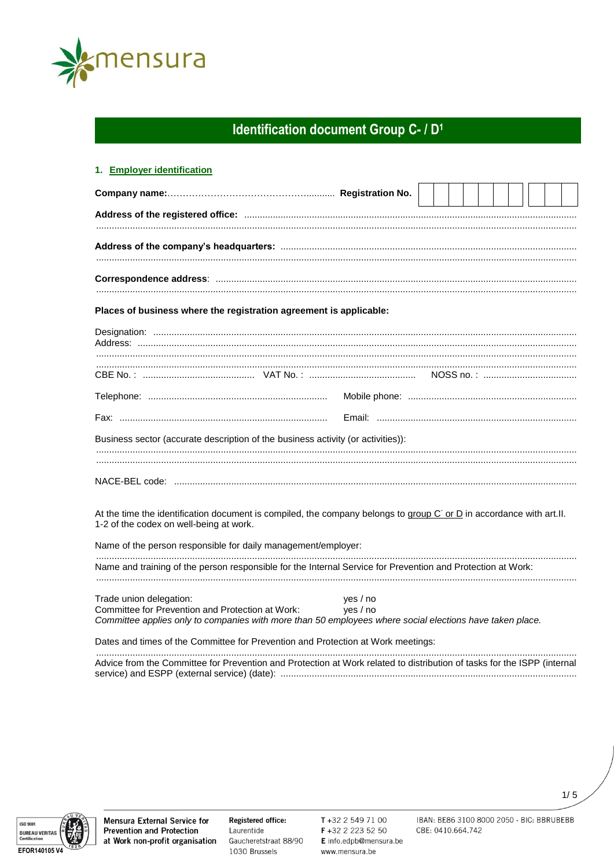

# Identification document Group C- / D<sup>1</sup>

| 1. Employer identification                                                                                                                                                              |                      |  |  |  |  |  |
|-----------------------------------------------------------------------------------------------------------------------------------------------------------------------------------------|----------------------|--|--|--|--|--|
|                                                                                                                                                                                         |                      |  |  |  |  |  |
|                                                                                                                                                                                         |                      |  |  |  |  |  |
|                                                                                                                                                                                         |                      |  |  |  |  |  |
|                                                                                                                                                                                         |                      |  |  |  |  |  |
| Places of business where the registration agreement is applicable:                                                                                                                      |                      |  |  |  |  |  |
|                                                                                                                                                                                         |                      |  |  |  |  |  |
| CBE No. : …………………………………………… VAT No. : ………………………………………… NOSS no. : …………………………………                                                                                                         |                      |  |  |  |  |  |
|                                                                                                                                                                                         |                      |  |  |  |  |  |
|                                                                                                                                                                                         |                      |  |  |  |  |  |
| Business sector (accurate description of the business activity (or activities)):                                                                                                        |                      |  |  |  |  |  |
|                                                                                                                                                                                         |                      |  |  |  |  |  |
| At the time the identification document is compiled, the company belongs to group C or D in accordance with art.II.<br>1-2 of the codex on well-being at work.                          |                      |  |  |  |  |  |
| Name of the person responsible for daily management/employer:                                                                                                                           |                      |  |  |  |  |  |
| Name and training of the person responsible for the Internal Service for Prevention and Protection at Work:                                                                             |                      |  |  |  |  |  |
| Trade union delegation:<br>Committee for Prevention and Protection at Work:<br>Committee applies only to companies with more than 50 employees where social elections have taken place. | yes / no<br>yes / no |  |  |  |  |  |
| Dates and times of the Committee for Prevention and Protection at Work meetings:                                                                                                        |                      |  |  |  |  |  |
| Advice from the Committee for Prevention and Protection at Work related to distribution of tasks for the ISPP (internal                                                                 |                      |  |  |  |  |  |



**Mensura External Service for Prevention and Protection** at Work non-profit organisation

Registered office: Laurentide Gaucheretstraat 88/90 1030 Brussels

T+32 2 549 71 00 F +32 2 223 52 50 E info.edpb@mensura.be www.mensura.be

IBAN: BE86 3100 8000 2050 - BIC: BBRUBEBB CBE: 0410.664.742

 $1/5$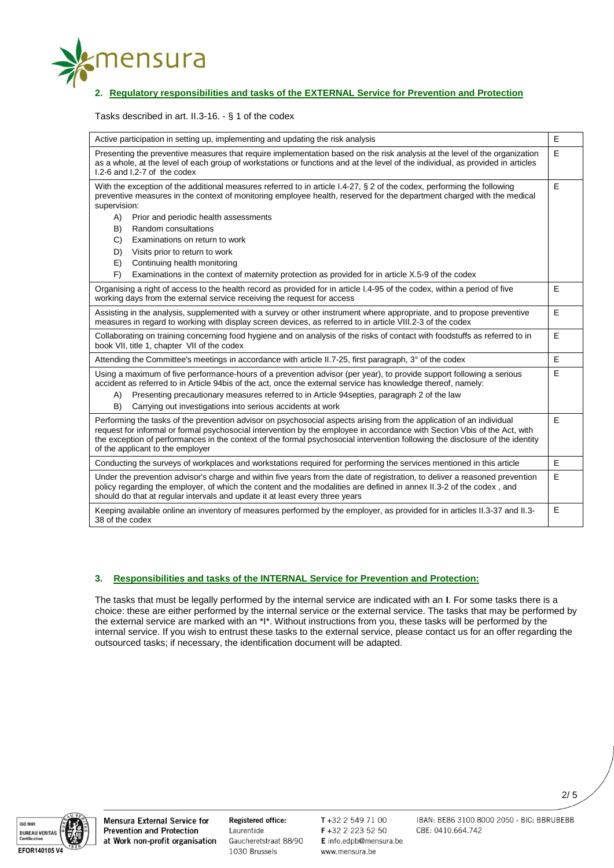

# **2. Regulatory responsibilities and tasks of the EXTERNAL Service for Prevention and Protection**

Tasks described in art. II.3-16. - § 1 of the codex

| Active participation in setting up, implementing and updating the risk analysis                                                                                                                                                                                                                                                                                                                                                                                                                                                                                                 | E |
|---------------------------------------------------------------------------------------------------------------------------------------------------------------------------------------------------------------------------------------------------------------------------------------------------------------------------------------------------------------------------------------------------------------------------------------------------------------------------------------------------------------------------------------------------------------------------------|---|
| Presenting the preventive measures that require implementation based on the risk analysis at the level of the organization<br>as a whole, at the level of each group of workstations or functions and at the level of the individual, as provided in articles<br>$1.2 - 6$ and $1.2 - 7$ of the codex                                                                                                                                                                                                                                                                           | E |
| With the exception of the additional measures referred to in article I.4-27, § 2 of the codex, performing the following<br>preventive measures in the context of monitoring employee health, reserved for the department charged with the medical<br>supervision:<br>A)<br>Prior and periodic health assessments<br>B)<br>Random consultations<br>C)<br>Examinations on return to work<br>D)<br>Visits prior to return to work<br>E)<br>Continuing health monitoring<br>F)<br>Examinations in the context of maternity protection as provided for in article X.5-9 of the codex | E |
| Organising a right of access to the health record as provided for in article 1.4-95 of the codex, within a period of five<br>working days from the external service receiving the request for access                                                                                                                                                                                                                                                                                                                                                                            | E |
| Assisting in the analysis, supplemented with a survey or other instrument where appropriate, and to propose preventive<br>measures in regard to working with display screen devices, as referred to in article VIII.2-3 of the codex                                                                                                                                                                                                                                                                                                                                            | E |
| Collaborating on training concerning food hygiene and on analysis of the risks of contact with foodstuffs as referred to in<br>book VII, title 1, chapter VII of the codex                                                                                                                                                                                                                                                                                                                                                                                                      | E |
| Attending the Committee's meetings in accordance with article II.7-25, first paragraph, 3° of the codex                                                                                                                                                                                                                                                                                                                                                                                                                                                                         | E |
| Using a maximum of five performance-hours of a prevention advisor (per year), to provide support following a serious<br>accident as referred to in Article 94bis of the act, once the external service has knowledge thereof, namely:<br>Presenting precautionary measures referred to in Article 94 septies, paragraph 2 of the law<br>A)<br>B)<br>Carrying out investigations into serious accidents at work                                                                                                                                                                  | E |
| Performing the tasks of the prevention advisor on psychosocial aspects arising from the application of an individual<br>request for informal or formal psychosocial intervention by the employee in accordance with Section Vbis of the Act, with<br>the exception of performances in the context of the formal psychosocial intervention following the disclosure of the identity<br>of the applicant to the employer                                                                                                                                                          | E |
| Conducting the surveys of workplaces and workstations required for performing the services mentioned in this article                                                                                                                                                                                                                                                                                                                                                                                                                                                            | E |
| Under the prevention advisor's charge and within five years from the date of registration, to deliver a reasoned prevention<br>policy regarding the employer, of which the content and the modalities are defined in annex II.3-2 of the codex, and<br>should do that at regular intervals and update it at least every three years                                                                                                                                                                                                                                             | E |
| Keeping available online an inventory of measures performed by the employer, as provided for in articles II.3-37 and II.3-<br>38 of the codex                                                                                                                                                                                                                                                                                                                                                                                                                                   | E |

## **3. Responsibilities and tasks of the INTERNAL Service for Prevention and Protection:**

The tasks that must be legally performed by the internal service are indicated with an **I**. For some tasks there is a choice: these are either performed by the internal service or the external service. The tasks that may be performed by the external service are marked with an \*I\*. Without instructions from you, these tasks will be performed by the internal service. If you wish to entrust these tasks to the external service, please contact us for an offer regarding the outsourced tasks; if necessary, the identification document will be adapted.



**Mensura External Service for Prevention and Protection** at Work non-profit organisation

Registered office: Laurentide Gaucheretstraat 88/90 1030 Brussels

T+32 2 549 71 00 F +32 2 223 52 50 E info.edpb@mensura.be www.mensura.be

IBAN: BE86 3100 8000 2050 - BIC: BBRUBEBB CBE: 0410.664.742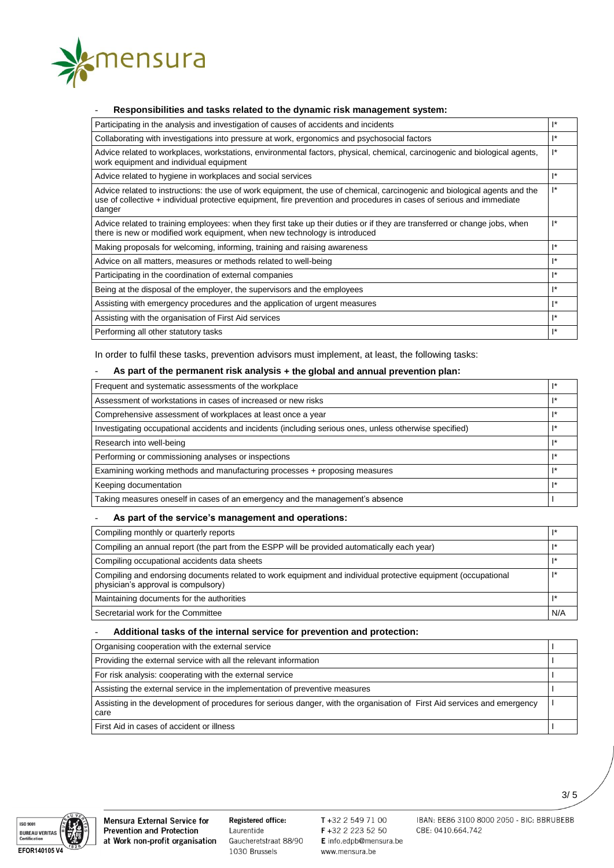

### - **Responsibilities and tasks related to the dynamic risk management system:**

| Participating in the analysis and investigation of causes of accidents and incidents                                                                                                                                                                          | $\mathbf{R}$   |
|---------------------------------------------------------------------------------------------------------------------------------------------------------------------------------------------------------------------------------------------------------------|----------------|
| Collaborating with investigations into pressure at work, ergonomics and psychosocial factors                                                                                                                                                                  | $\mathbf{R}$   |
| Advice related to workplaces, workstations, environmental factors, physical, chemical, carcinogenic and biological agents,<br>work equipment and individual equipment                                                                                         |                |
| Advice related to hygiene in workplaces and social services                                                                                                                                                                                                   | 1*             |
| Advice related to instructions: the use of work equipment, the use of chemical, carcinogenic and biological agents and the<br>use of collective + individual protective equipment, fire prevention and procedures in cases of serious and immediate<br>danger | $\mathbf{I}^*$ |
| Advice related to training employees: when they first take up their duties or if they are transferred or change jobs, when<br>there is new or modified work equipment, when new technology is introduced                                                      |                |
| Making proposals for welcoming, informing, training and raising awareness                                                                                                                                                                                     |                |
| Advice on all matters, measures or methods related to well-being                                                                                                                                                                                              | $\mathbf{R}$   |
| Participating in the coordination of external companies                                                                                                                                                                                                       | $\mathbf{R}$   |
| Being at the disposal of the employer, the supervisors and the employees                                                                                                                                                                                      | I*             |
| Assisting with emergency procedures and the application of urgent measures                                                                                                                                                                                    | $I^*$          |
| Assisting with the organisation of First Aid services                                                                                                                                                                                                         | I*             |
| Performing all other statutory tasks                                                                                                                                                                                                                          | $\mathbf{R}$   |

In order to fulfil these tasks, prevention advisors must implement, at least, the following tasks:

# - **As part of the permanent risk analysis + the global and annual prevention plan:**

| Frequent and systematic assessments of the workplace                                                    |  |  |  |
|---------------------------------------------------------------------------------------------------------|--|--|--|
| Assessment of workstations in cases of increased or new risks                                           |  |  |  |
| Comprehensive assessment of workplaces at least once a year                                             |  |  |  |
| Investigating occupational accidents and incidents (including serious ones, unless otherwise specified) |  |  |  |
| Research into well-being                                                                                |  |  |  |
| Performing or commissioning analyses or inspections                                                     |  |  |  |
| Examining working methods and manufacturing processes + proposing measures                              |  |  |  |
| Keeping documentation                                                                                   |  |  |  |
| Taking measures oneself in cases of an emergency and the management's absence                           |  |  |  |

#### - **As part of the service's management and operations:**

| Compiling monthly or quarterly reports                                                                                                               |     |
|------------------------------------------------------------------------------------------------------------------------------------------------------|-----|
| Compiling an annual report (the part from the ESPP will be provided automatically each year)                                                         |     |
| Compiling occupational accidents data sheets                                                                                                         |     |
| Compiling and endorsing documents related to work equipment and individual protective equipment (occupational<br>physician's approval is compulsory) |     |
| Maintaining documents for the authorities                                                                                                            |     |
| Secretarial work for the Committee                                                                                                                   | N/A |

### - **Additional tasks of the internal service for prevention and protection:**

| Organising cooperation with the external service                                                                                 |  |
|----------------------------------------------------------------------------------------------------------------------------------|--|
| Providing the external service with all the relevant information                                                                 |  |
| For risk analysis: cooperating with the external service                                                                         |  |
| Assisting the external service in the implementation of preventive measures                                                      |  |
| Assisting in the development of procedures for serious danger, with the organisation of First Aid services and emergency<br>care |  |
| First Aid in cases of accident or illness                                                                                        |  |



**Mensura External Service for Prevention and Protection** at Work non-profit organisation

Registered office: Laurentide Gaucheretstraat 88/90 1030 Brussels

T+32 2 549 71 00 F +32 2 223 52 50 E info.edpb@mensura.be www.mensura.be

IBAN: BE86 3100 8000 2050 - BIC: BBRUBEBB CBE: 0410.664.742

3/ 5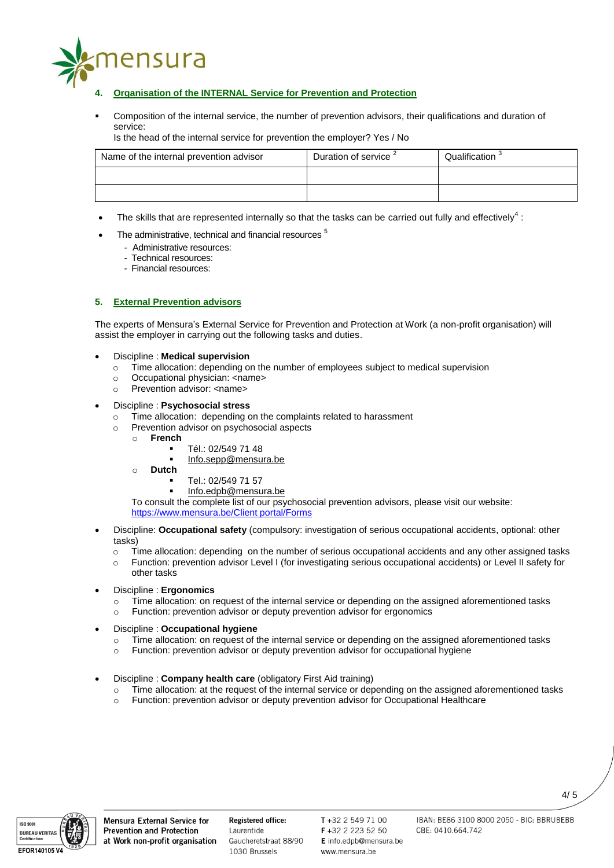

- **4. Organisation of the INTERNAL Service for Prevention and Protection**
- Composition of the internal service, the number of prevention advisors, their qualifications and duration of service:

Is the head of the internal service for prevention the employer? Yes / No

| Name of the internal prevention advisor | Duration of service | Qualification |
|-----------------------------------------|---------------------|---------------|
|                                         |                     |               |
|                                         |                     |               |

- The skills that are represented internally so that the tasks can be carried out fully and effectively<sup>4</sup>:
- The administrative, technical and financial resources<sup>5</sup>
	- Administrative resources:
	- Technical resources:
	- Financial resources:

## **5. External Prevention advisors**

The experts of Mensura's External Service for Prevention and Protection at Work (a non-profit organisation) will assist the employer in carrying out the following tasks and duties.

### Discipline : **Medical supervision**

- o Time allocation: depending on the number of employees subject to medical supervision
- o Occupational physician: <name>
- o Prevention advisor: <name>
- Discipline : **Psychosocial stress**
	- o Time allocation: depending on the complaints related to harassment
	- o Prevention advisor on psychosocial aspects
		- o **French**
			- Tél.: 02/549 71 48
			- [Info.sepp@mensura.be](mailto:Info.sepp@mensura.be)
		- o **Dutch**
			- Tel.: 02/549 71 57
			- [Info.edpb@mensura.be](mailto:Info.edpb@mensura.be)

To consult the complete list of our psychosocial prevention advisors, please visit our website: [https://www.mensura.be/Client portal/Forms](https://www.mensura.be/en/client-portal/forms)

- Discipline: **Occupational safety** (compulsory: investigation of serious occupational accidents, optional: other tasks)
	- o Time allocation: depending on the number of serious occupational accidents and any other assigned tasks
	- o Function: prevention advisor Level I (for investigating serious occupational accidents) or Level II safety for other tasks
- Discipline : **Ergonomics**
	- Time allocation: on request of the internal service or depending on the assigned aforementioned tasks
	- Function: prevention advisor or deputy prevention advisor for ergonomics
- Discipline : **Occupational hygiene**
	- $\circ$  Time allocation: on request of the internal service or depending on the assigned aforementioned tasks
	- o Function: prevention advisor or deputy prevention advisor for occupational hygiene
- Discipline : **Company health care** (obligatory First Aid training)
	- o Time allocation: at the request of the internal service or depending on the assigned aforementioned tasks
	- o Function: prevention advisor or deputy prevention advisor for Occupational Healthcare



**Mensura External Service for Prevention and Protection** at Work non-profit organisation

Registered office: Laurentide Gaucheretstraat 88/90 1030 Brussels

 $T + 3225497100$ F +32 2 223 52 50 E info.edpb@mensura.be www.mensura.be

IBAN: BE86 3100 8000 2050 - BIC: BBRUBEBB CBE: 0410.664.742